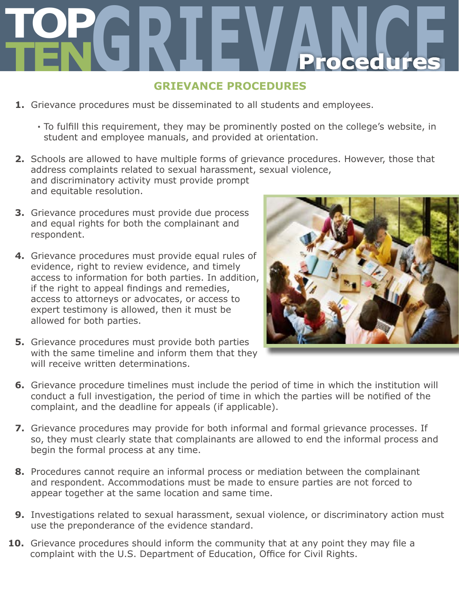# **TOP TENGRIEVANCE Procedures**

## **GRIEVANCE PROCEDURES**

- **1.** Grievance procedures must be disseminated to all students and employees.
	- **∙** To fulfill this requirement, they may be prominently posted on the college's website, in student and employee manuals, and provided at orientation.
- **2.** Schools are allowed to have multiple forms of grievance procedures. However, those that address complaints related to sexual harassment, sexual violence, and discriminatory activity must provide prompt and equitable resolution.
- **3.** Grievance procedures must provide due process and equal rights for both the complainant and respondent.
- **4.** Grievance procedures must provide equal rules of evidence, right to review evidence, and timely access to information for both parties. In addition, if the right to appeal findings and remedies, access to attorneys or advocates, or access to expert testimony is allowed, then it must be allowed for both parties.



- **5.** Grievance procedures must provide both parties with the same timeline and inform them that they will receive written determinations.
- **6.** Grievance procedure timelines must include the period of time in which the institution will conduct a full investigation, the period of time in which the parties will be notified of the complaint, and the deadline for appeals (if applicable).
- **7.** Grievance procedures may provide for both informal and formal grievance processes. If so, they must clearly state that complainants are allowed to end the informal process and begin the formal process at any time.
- **8.** Procedures cannot require an informal process or mediation between the complainant and respondent. Accommodations must be made to ensure parties are not forced to appear together at the same location and same time.
- **9.** Investigations related to sexual harassment, sexual violence, or discriminatory action must use the preponderance of the evidence standard.
- **10.** Grievance procedures should inform the community that at any point they may file a complaint with the U.S. Department of Education, Office for Civil Rights.